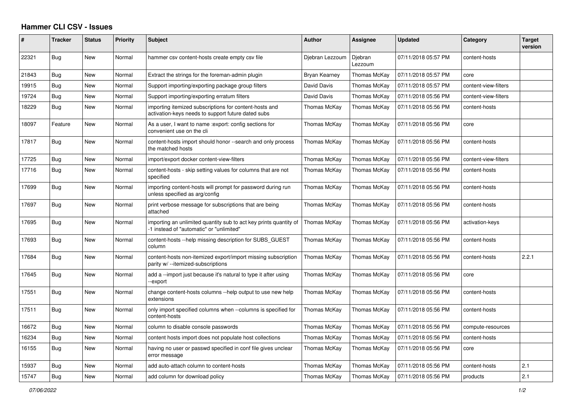## **Hammer CLI CSV - Issues**

| $\vert$ # | <b>Tracker</b> | <b>Status</b> | <b>Priority</b> | <b>Subject</b>                                                                                                | <b>Author</b>   | <b>Assignee</b>    | <b>Updated</b>      | Category             | <b>Target</b><br>version |
|-----------|----------------|---------------|-----------------|---------------------------------------------------------------------------------------------------------------|-----------------|--------------------|---------------------|----------------------|--------------------------|
| 22321     | Bug            | New           | Normal          | hammer csv content-hosts create empty csv file                                                                | Djebran Lezzoum | Djebran<br>Lezzoum | 07/11/2018 05:57 PM | content-hosts        |                          |
| 21843     | Bug            | New           | Normal          | Extract the strings for the foreman-admin plugin                                                              | Bryan Kearney   | Thomas McKay       | 07/11/2018 05:57 PM | core                 |                          |
| 19915     | Bug            | New           | Normal          | Support importing/exporting package group filters                                                             | David Davis     | Thomas McKay       | 07/11/2018 05:57 PM | content-view-filters |                          |
| 19724     | Bug            | <b>New</b>    | Normal          | Support importing/exporting erratum filters                                                                   | David Davis     | Thomas McKay       | 07/11/2018 05:56 PM | content-view-filters |                          |
| 18229     | Bug            | New           | Normal          | importing itemized subscriptions for content-hosts and<br>activation-keys needs to support future dated subs  | Thomas McKay    | Thomas McKay       | 07/11/2018 05:56 PM | content-hosts        |                          |
| 18097     | Feature        | New           | Normal          | As a user, I want to name : export: config sections for<br>convenient use on the cli                          | Thomas McKay    | Thomas McKay       | 07/11/2018 05:56 PM | core                 |                          |
| 17817     | <b>Bug</b>     | New           | Normal          | content-hosts import should honor --search and only process<br>the matched hosts                              | Thomas McKay    | Thomas McKay       | 07/11/2018 05:56 PM | content-hosts        |                          |
| 17725     | Bug            | New           | Normal          | import/export docker content-view-filters                                                                     | Thomas McKay    | Thomas McKay       | 07/11/2018 05:56 PM | content-view-filters |                          |
| 17716     | Bug            | New           | Normal          | content-hosts - skip setting values for columns that are not<br>specified                                     | Thomas McKay    | Thomas McKay       | 07/11/2018 05:56 PM | content-hosts        |                          |
| 17699     | Bug            | New           | Normal          | importing content-hosts will prompt for password during run<br>unless specified as arg/config                 | Thomas McKay    | Thomas McKay       | 07/11/2018 05:56 PM | content-hosts        |                          |
| 17697     | Bug            | New           | Normal          | print verbose message for subscriptions that are being<br>attached                                            | Thomas McKay    | Thomas McKay       | 07/11/2018 05:56 PM | content-hosts        |                          |
| 17695     | Bug            | <b>New</b>    | Normal          | importing an unlimited quantity sub to act key prints quantity of<br>-1 instead of "automatic" or "unlimited" | Thomas McKay    | Thomas McKay       | 07/11/2018 05:56 PM | activation-keys      |                          |
| 17693     | Bug            | New           | Normal          | content-hosts --help missing description for SUBS GUEST<br>column                                             | Thomas McKay    | Thomas McKay       | 07/11/2018 05:56 PM | content-hosts        |                          |
| 17684     | Bug            | New           | Normal          | content-hosts non-itemized export/import missing subscription<br>parity w/ --itemized-subscriptions           | Thomas McKay    | Thomas McKay       | 07/11/2018 05:56 PM | content-hosts        | 2.2.1                    |
| 17645     | Bug            | <b>New</b>    | Normal          | add a --import just because it's natural to type it after using<br>-export                                    | Thomas McKay    | Thomas McKay       | 07/11/2018 05:56 PM | core                 |                          |
| 17551     | <b>Bug</b>     | New           | Normal          | change content-hosts columns --help output to use new help<br>extensions                                      | Thomas McKay    | Thomas McKay       | 07/11/2018 05:56 PM | content-hosts        |                          |
| 17511     | Bug            | New           | Normal          | only import specified columns when --columns is specified for<br>content-hosts                                | Thomas McKay    | Thomas McKay       | 07/11/2018 05:56 PM | content-hosts        |                          |
| 16672     | Bug            | New           | Normal          | column to disable console passwords                                                                           | Thomas McKay    | Thomas McKay       | 07/11/2018 05:56 PM | compute-resources    |                          |
| 16234     | <b>Bug</b>     | New           | Normal          | content hosts import does not populate host collections                                                       | Thomas McKay    | Thomas McKay       | 07/11/2018 05:56 PM | content-hosts        |                          |
| 16155     | Bug            | New           | Normal          | having no user or passwd specified in conf file gives unclear<br>error message                                | Thomas McKay    | Thomas McKay       | 07/11/2018 05:56 PM | core                 |                          |
| 15937     | Bug            | New           | Normal          | add auto-attach column to content-hosts                                                                       | Thomas McKay    | Thomas McKay       | 07/11/2018 05:56 PM | content-hosts        | 2.1                      |
| 15747     | Bug            | New           | Normal          | add column for download policy                                                                                | Thomas McKay    | Thomas McKay       | 07/11/2018 05:56 PM | products             | 2.1                      |